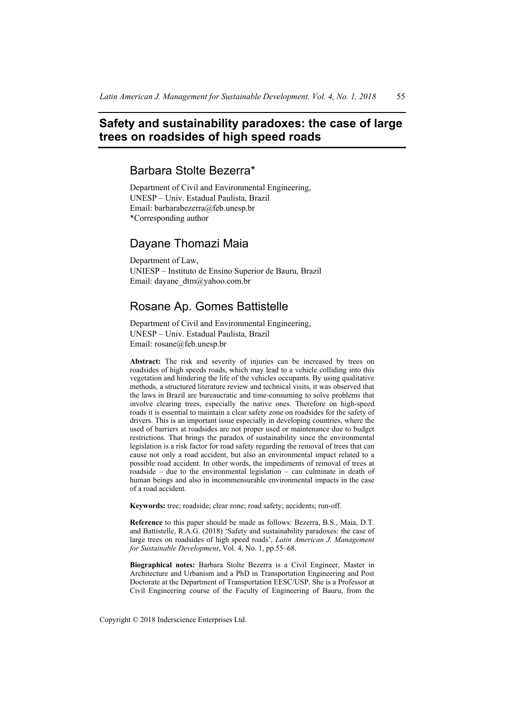# **Safety and sustainability paradoxes: the case of large trees on roadsides of high speed roads**

## Barbara Stolte Bezerra\*

Department of Civil and Environmental Engineering, UNESP – Univ. Estadual Paulista, Brazil Email: barbarabezerra@feb.unesp.br \*Corresponding author

## Dayane Thomazi Maia

Department of Law, UNIESP – Instituto de Ensino Superior de Bauru, Brazil Email: dayane\_dtm@yahoo.com.br

## Rosane Ap. Gomes Battistelle

Department of Civil and Environmental Engineering, UNESP – Univ. Estadual Paulista, Brazil Email: rosane@feb.unesp.br

**Abstract:** The risk and severity of injuries can be increased by trees on roadsides of high speeds roads, which may lead to a vehicle colliding into this vegetation and hindering the life of the vehicles occupants. By using qualitative methods, a structured literature review and technical visits, it was observed that the laws in Brazil are bureaucratic and time-consuming to solve problems that involve clearing trees, especially the native ones. Therefore on high-speed roads it is essential to maintain a clear safety zone on roadsides for the safety of drivers. This is an important issue especially in developing countries, where the used of barriers at roadsides are not proper used or maintenance due to budget restrictions. That brings the paradox of sustainability since the environmental legislation is a risk factor for road safety regarding the removal of trees that can cause not only a road accident, but also an environmental impact related to a possible road accident. In other words, the impediments of removal of trees at roadside – due to the environmental legislation – can culminate in death of human beings and also in incommensurable environmental impacts in the case of a road accident.

**Keywords:** tree; roadside; clear zone; road safety; accidents; run-off.

**Reference** to this paper should be made as follows: Bezerra, B.S., Maia, D.T. and Battistelle, R.A.G. (2018) 'Safety and sustainability paradoxes: the case of large trees on roadsides of high speed roads', *Latin American J. Management for Sustainable Development*, Vol. 4, No. 1, pp.55–68.

**Biographical notes:** Barbara Stolte Bezerra is a Civil Engineer, Master in Architecture and Urbanism and a PhD in Transportation Engineering and Post Doctorate at the Department of Transportation EESC/USP. She is a Professor at Civil Engineering course of the Faculty of Engineering of Bauru, from the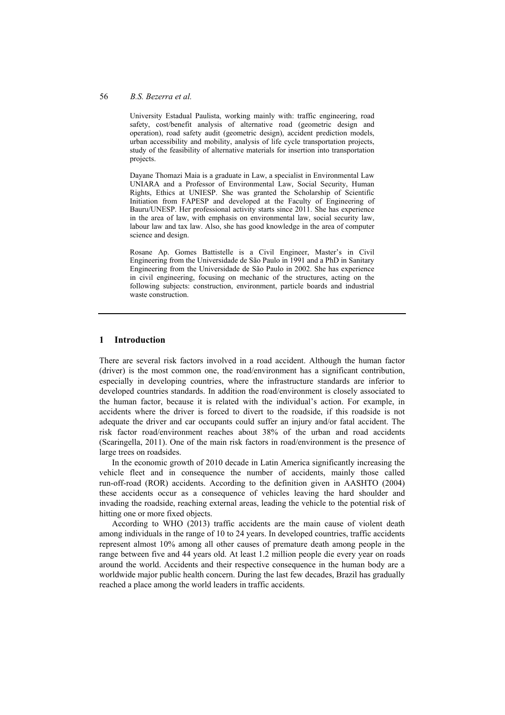University Estadual Paulista, working mainly with: traffic engineering, road safety, cost/benefit analysis of alternative road (geometric design and operation), road safety audit (geometric design), accident prediction models, urban accessibility and mobility, analysis of life cycle transportation projects, study of the feasibility of alternative materials for insertion into transportation projects.

Dayane Thomazi Maia is a graduate in Law, a specialist in Environmental Law UNIARA and a Professor of Environmental Law, Social Security, Human Rights, Ethics at UNIESP. She was granted the Scholarship of Scientific Initiation from FAPESP and developed at the Faculty of Engineering of Bauru/UNESP. Her professional activity starts since 2011. She has experience in the area of law, with emphasis on environmental law, social security law, labour law and tax law. Also, she has good knowledge in the area of computer science and design.

Rosane Ap. Gomes Battistelle is a Civil Engineer, Master's in Civil Engineering from the Universidade de São Paulo in 1991 and a PhD in Sanitary Engineering from the Universidade de São Paulo in 2002. She has experience in civil engineering, focusing on mechanic of the structures, acting on the following subjects: construction, environment, particle boards and industrial waste construction.

#### **1 Introduction**

There are several risk factors involved in a road accident. Although the human factor (driver) is the most common one, the road/environment has a significant contribution, especially in developing countries, where the infrastructure standards are inferior to developed countries standards. In addition the road/environment is closely associated to the human factor, because it is related with the individual's action. For example, in accidents where the driver is forced to divert to the roadside, if this roadside is not adequate the driver and car occupants could suffer an injury and/or fatal accident. The risk factor road/environment reaches about 38% of the urban and road accidents (Scaringella, 2011). One of the main risk factors in road/environment is the presence of large trees on roadsides.

In the economic growth of 2010 decade in Latin America significantly increasing the vehicle fleet and in consequence the number of accidents, mainly those called run-off-road (ROR) accidents. According to the definition given in AASHTO (2004) these accidents occur as a consequence of vehicles leaving the hard shoulder and invading the roadside, reaching external areas, leading the vehicle to the potential risk of hitting one or more fixed objects.

According to WHO (2013) traffic accidents are the main cause of violent death among individuals in the range of 10 to 24 years. In developed countries, traffic accidents represent almost 10% among all other causes of premature death among people in the range between five and 44 years old. At least 1.2 million people die every year on roads around the world. Accidents and their respective consequence in the human body are a worldwide major public health concern. During the last few decades, Brazil has gradually reached a place among the world leaders in traffic accidents.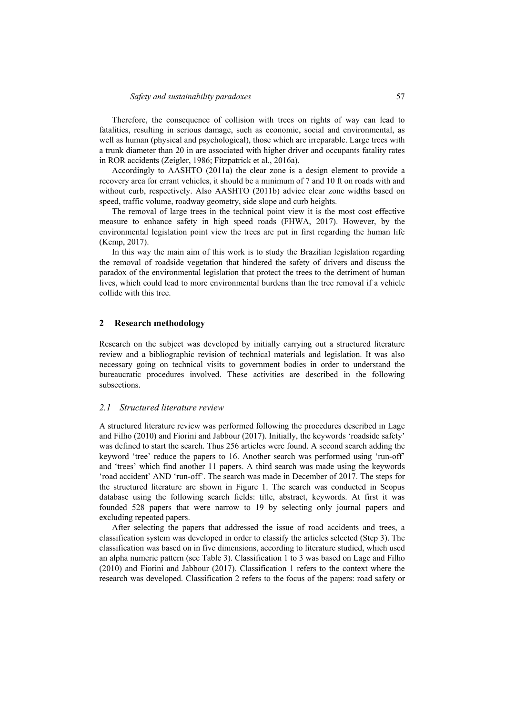Therefore, the consequence of collision with trees on rights of way can lead to fatalities, resulting in serious damage, such as economic, social and environmental, as well as human (physical and psychological), those which are irreparable. Large trees with a trunk diameter than 20 in are associated with higher driver and occupants fatality rates in ROR accidents (Zeigler, 1986; Fitzpatrick et al., 2016a).

Accordingly to AASHTO (2011a) the clear zone is a design element to provide a recovery area for errant vehicles, it should be a minimum of 7 and 10 ft on roads with and without curb, respectively. Also AASHTO (2011b) advice clear zone widths based on speed, traffic volume, roadway geometry, side slope and curb heights.

The removal of large trees in the technical point view it is the most cost effective measure to enhance safety in high speed roads (FHWA, 2017). However, by the environmental legislation point view the trees are put in first regarding the human life (Kemp, 2017).

In this way the main aim of this work is to study the Brazilian legislation regarding the removal of roadside vegetation that hindered the safety of drivers and discuss the paradox of the environmental legislation that protect the trees to the detriment of human lives, which could lead to more environmental burdens than the tree removal if a vehicle collide with this tree.

#### **2 Research methodology**

Research on the subject was developed by initially carrying out a structured literature review and a bibliographic revision of technical materials and legislation. It was also necessary going on technical visits to government bodies in order to understand the bureaucratic procedures involved. These activities are described in the following subsections.

#### *2.1 Structured literature review*

A structured literature review was performed following the procedures described in Lage and Filho (2010) and Fiorini and Jabbour (2017). Initially, the keywords 'roadside safety' was defined to start the search. Thus 256 articles were found. A second search adding the keyword 'tree' reduce the papers to 16. Another search was performed using 'run-off' and 'trees' which find another 11 papers. A third search was made using the keywords 'road accident' AND 'run-off'. The search was made in December of 2017. The steps for the structured literature are shown in Figure 1. The search was conducted in Scopus database using the following search fields: title, abstract, keywords. At first it was founded 528 papers that were narrow to 19 by selecting only journal papers and excluding repeated papers.

After selecting the papers that addressed the issue of road accidents and trees, a classification system was developed in order to classify the articles selected (Step 3). The classification was based on in five dimensions, according to literature studied, which used an alpha numeric pattern (see Table 3). Classification 1 to 3 was based on Lage and Filho (2010) and Fiorini and Jabbour (2017). Classification 1 refers to the context where the research was developed. Classification 2 refers to the focus of the papers: road safety or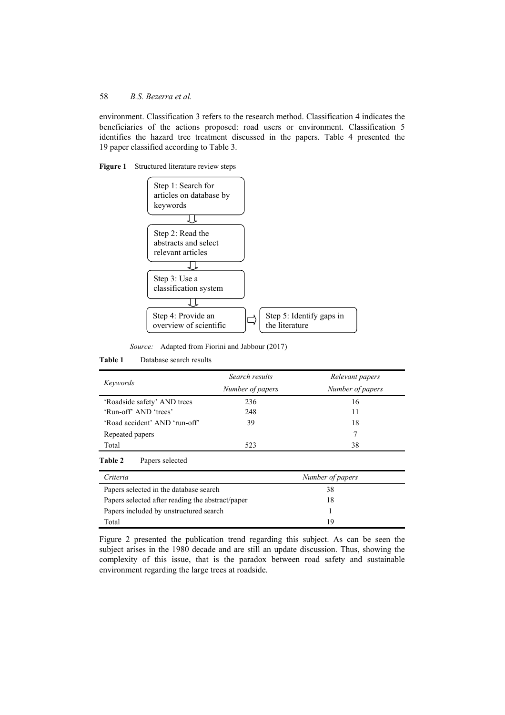environment. Classification 3 refers to the research method. Classification 4 indicates the beneficiaries of the actions proposed: road users or environment. Classification 5 identifies the hazard tree treatment discussed in the papers. Table 4 presented the 19 paper classified according to Table 3.

**Figure 1** Structured literature review steps



*Source:* Adapted from Fiorini and Jabbour (2017)

#### **Table 1** Database search results

|                                                  | Search results   | Relevant papers  |  |  |
|--------------------------------------------------|------------------|------------------|--|--|
| Keywords                                         | Number of papers | Number of papers |  |  |
| 'Roadside safety' AND trees                      | 236              | 16               |  |  |
| 'Run-off' AND 'trees'                            | 248              | 11               |  |  |
| 'Road accident' AND 'run-off'                    | 39               | 18               |  |  |
| Repeated papers                                  |                  | 7                |  |  |
| Total                                            | 523              | 38               |  |  |
| Table 2<br>Papers selected                       |                  |                  |  |  |
| Criteria                                         |                  | Number of papers |  |  |
| Papers selected in the database search           |                  | 38               |  |  |
| Papers selected after reading the abstract/paper | 18               |                  |  |  |
| Papers included by unstructured search           |                  |                  |  |  |
| Total                                            |                  | 19               |  |  |

Figure 2 presented the publication trend regarding this subject. As can be seen the subject arises in the 1980 decade and are still an update discussion. Thus, showing the complexity of this issue, that is the paradox between road safety and sustainable environment regarding the large trees at roadside.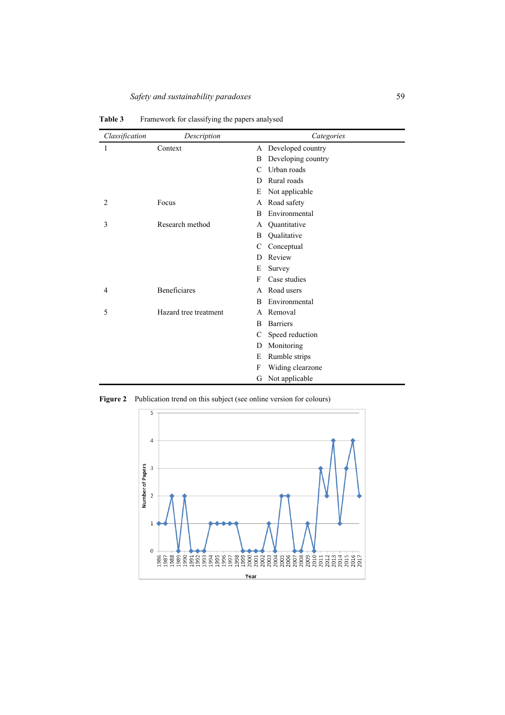## *Safety and sustainability paradoxes* 59

| Classification | Description           | Categories              |
|----------------|-----------------------|-------------------------|
| 1              | Context               | Developed country<br>A  |
|                |                       | Developing country<br>B |
|                |                       | Urban roads<br>C        |
|                |                       | Rural roads<br>D        |
|                |                       | Not applicable<br>Е     |
| 2              | Focus                 | Road safety<br>A        |
|                |                       | Environmental<br>B      |
| 3              | Research method       | Quantitative<br>A       |
|                |                       | Qualitative<br>B        |
|                |                       | Conceptual<br>C         |
|                |                       | Review<br>D             |
|                |                       | E<br>Survey             |
|                |                       | Case studies<br>F       |
| 4              | Beneficiares          | Road users<br>A         |
|                |                       | Environmental<br>B      |
| 5              | Hazard tree treatment | Removal<br>A            |
|                |                       | <b>Barriers</b><br>B    |
|                |                       | Speed reduction<br>C    |
|                |                       | Monitoring<br>D         |
|                |                       | E<br>Rumble strips      |
|                |                       | Widing clearzone<br>F   |
|                |                       | Not applicable<br>G     |

Table 3 Framework for classifying the papers analysed

**Figure 2** Publication trend on this subject (see online version for colours)

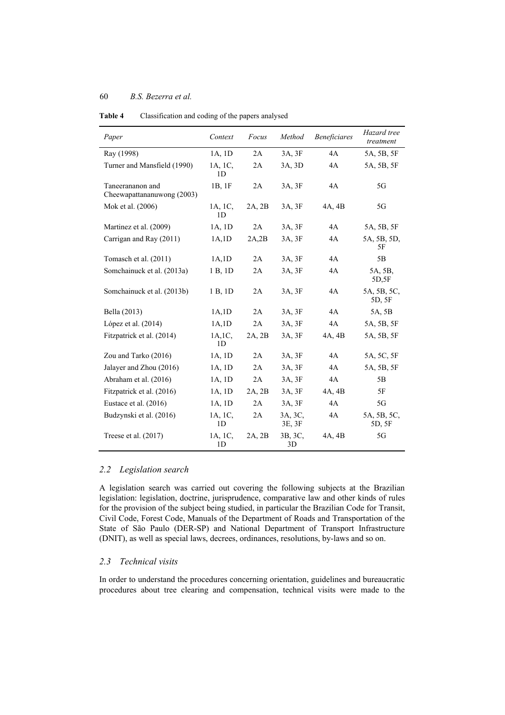| Paper                                          | Context                   | Focus  | Method            | <b>Beneficiares</b> | Hazard tree<br>treatment |
|------------------------------------------------|---------------------------|--------|-------------------|---------------------|--------------------------|
| Ray (1998)                                     | 1A, 1D                    | 2A     | 3A, 3F            | 4A                  | 5A, 5B, 5F               |
| Turner and Mansfield (1990)                    | 1A, 1C,<br>1D             | 2A     | 3A, 3D            | 4A                  | 5A, 5B, 5F               |
| Taneerananon and<br>Cheewapattananuwong (2003) | 1B, 1F                    | 2A     | 3A, 3F            | 4A                  | 5G                       |
| Mok et al. (2006)                              | 1A, 1C,<br>1D             | 2A, 2B | 3A, 3F            | 4A, 4B              | 5G                       |
| Martinez et al. (2009)                         | 1A, 1D                    | 2A     | 3A, 3F            | 4A                  | 5A, 5B, 5F               |
| Carrigan and Ray (2011)                        | 1A,1D                     | 2A,2B  | 3A, 3F            | 4A                  | 5A, 5B, 5D,<br>5F        |
| Tomasch et al. (2011)                          | 1A,1D                     | 2A     | 3A, 3F            | 4A                  | 5B                       |
| Somchainuck et al. (2013a)                     | 1 B, 1D                   | 2A     | 3A, 3F            | 4A                  | 5A, 5B,<br>5D,5F         |
| Somchainuck et al. (2013b)                     | 1 B, 1D                   | 2A     | 3A, 3F            | 4A                  | 5A, 5B, 5C,<br>5D, 5F    |
| Bella (2013)                                   | 1A,1D                     | 2A     | 3A, 3F            | 4A                  | 5A, 5B                   |
| López et al. $(2014)$                          | 1A,1D                     | 2A     | 3A, 3F            | 4A                  | 5A, 5B, 5F               |
| Fitzpatrick et al. (2014)                      | 1A, 1C,<br>1D             | 2A, 2B | 3A, 3F            | 4A, 4B              | 5A, 5B, 5F               |
| Zou and Tarko $(2016)$                         | 1A, 1D                    | 2A     | 3A, 3F            | 4A                  | 5A, 5C, 5F               |
| Jalayer and Zhou (2016)                        | 1A, 1D                    | 2A     | 3A, 3F            | 4A                  | 5A, 5B, 5F               |
| Abraham et al. (2016)                          | 1A, 1D                    | 2A     | 3A, 3F            | 4A                  | 5B                       |
| Fitzpatrick et al. (2016)                      | 1A, 1D                    | 2A, 2B | 3A, 3F            | 4A, 4B              | 5F                       |
| Eustace et al. $(2016)$                        | 1A, 1D                    | 2A     | 3A, 3F            | 4A                  | 5G                       |
| Budzynski et al. (2016)                        | 1A, 1C,<br>1D             | 2A     | 3A, 3C,<br>3E, 3F | 4A                  | 5A, 5B, 5C,<br>5D, 5F    |
| Treese et al. $(2017)$                         | 1A, 1C,<br>1 <sub>D</sub> | 2A, 2B | 3B, 3C,<br>3D     | 4A, 4B              | 5G                       |

**Table 4** Classification and coding of the papers analysed

#### *2.2 Legislation search*

A legislation search was carried out covering the following subjects at the Brazilian legislation: legislation, doctrine, jurisprudence, comparative law and other kinds of rules for the provision of the subject being studied, in particular the Brazilian Code for Transit, Civil Code, Forest Code, Manuals of the Department of Roads and Transportation of the State of São Paulo (DER-SP) and National Department of Transport Infrastructure (DNIT), as well as special laws, decrees, ordinances, resolutions, by-laws and so on.

### *2.3 Technical visits*

In order to understand the procedures concerning orientation, guidelines and bureaucratic procedures about tree clearing and compensation, technical visits were made to the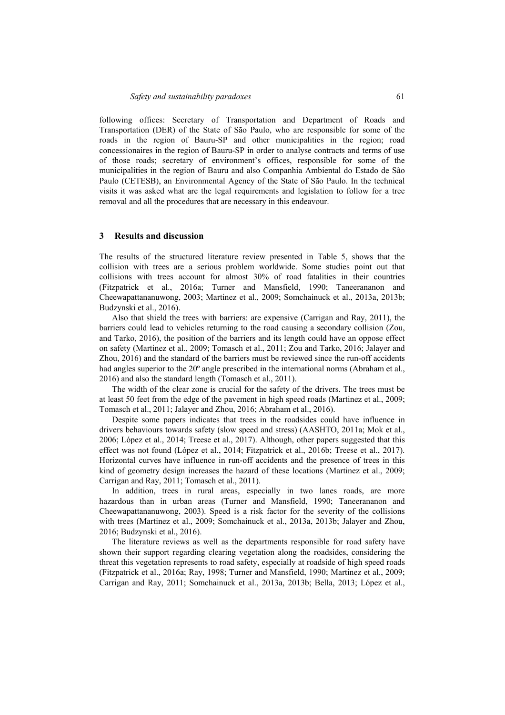following offices: Secretary of Transportation and Department of Roads and Transportation (DER) of the State of São Paulo, who are responsible for some of the roads in the region of Bauru-SP and other municipalities in the region; road concessionaires in the region of Bauru-SP in order to analyse contracts and terms of use of those roads; secretary of environment's offices, responsible for some of the municipalities in the region of Bauru and also Companhia Ambiental do Estado de São Paulo (CETESB), an Environmental Agency of the State of São Paulo. In the technical visits it was asked what are the legal requirements and legislation to follow for a tree removal and all the procedures that are necessary in this endeavour.

#### **3 Results and discussion**

The results of the structured literature review presented in Table 5, shows that the collision with trees are a serious problem worldwide. Some studies point out that collisions with trees account for almost 30% of road fatalities in their countries (Fitzpatrick et al., 2016a; Turner and Mansfield, 1990; Taneerananon and Cheewapattananuwong, 2003; Martinez et al., 2009; Somchainuck et al., 2013a, 2013b; Budzynski et al., 2016).

Also that shield the trees with barriers: are expensive (Carrigan and Ray, 2011), the barriers could lead to vehicles returning to the road causing a secondary collision (Zou, and Tarko, 2016), the position of the barriers and its length could have an oppose effect on safety (Martinez et al., 2009; Tomasch et al., 2011; Zou and Tarko, 2016; Jalayer and Zhou, 2016) and the standard of the barriers must be reviewed since the run-off accidents had angles superior to the 20<sup>°</sup> angle prescribed in the international norms (Abraham et al., 2016) and also the standard length (Tomasch et al., 2011).

The width of the clear zone is crucial for the safety of the drivers. The trees must be at least 50 feet from the edge of the pavement in high speed roads (Martinez et al., 2009; Tomasch et al., 2011; Jalayer and Zhou, 2016; Abraham et al., 2016).

Despite some papers indicates that trees in the roadsides could have influence in drivers behaviours towards safety (slow speed and stress) (AASHTO, 2011a; Mok et al., 2006; López et al., 2014; Treese et al., 2017). Although, other papers suggested that this effect was not found (López et al., 2014; Fitzpatrick et al., 2016b; Treese et al., 2017). Horizontal curves have influence in run-off accidents and the presence of trees in this kind of geometry design increases the hazard of these locations (Martinez et al., 2009; Carrigan and Ray, 2011; Tomasch et al., 2011).

In addition, trees in rural areas, especially in two lanes roads, are more hazardous than in urban areas (Turner and Mansfield, 1990; Taneerananon and Cheewapattananuwong, 2003). Speed is a risk factor for the severity of the collisions with trees (Martinez et al., 2009; Somchainuck et al., 2013a, 2013b; Jalayer and Zhou, 2016; Budzynski et al., 2016).

The literature reviews as well as the departments responsible for road safety have shown their support regarding clearing vegetation along the roadsides, considering the threat this vegetation represents to road safety, especially at roadside of high speed roads (Fitzpatrick et al., 2016a; Ray, 1998; Turner and Mansfield, 1990; Martinez et al., 2009; Carrigan and Ray, 2011; Somchainuck et al., 2013a, 2013b; Bella, 2013; López et al.,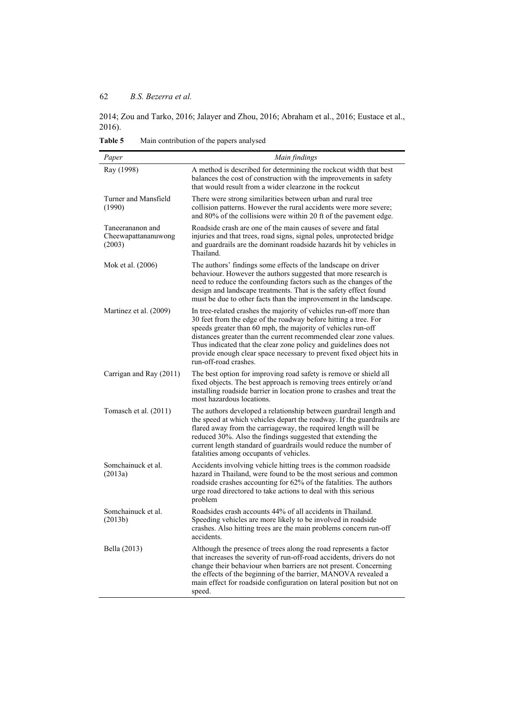2014; Zou and Tarko, 2016; Jalayer and Zhou, 2016; Abraham et al., 2016; Eustace et al., 2016).

**Table 5** Main contribution of the papers analysed

| Paper                                             | Main findings                                                                                                                                                                                                                                                                                                                                                                                                                                    |
|---------------------------------------------------|--------------------------------------------------------------------------------------------------------------------------------------------------------------------------------------------------------------------------------------------------------------------------------------------------------------------------------------------------------------------------------------------------------------------------------------------------|
| Ray (1998)                                        | A method is described for determining the rockcut width that best<br>balances the cost of construction with the improvements in safety<br>that would result from a wider clearzone in the rockcut                                                                                                                                                                                                                                                |
| Turner and Mansfield<br>(1990)                    | There were strong similarities between urban and rural tree<br>collision patterns. However the rural accidents were more severe;<br>and 80% of the collisions were within 20 ft of the pavement edge.                                                                                                                                                                                                                                            |
| Taneerananon and<br>Cheewapattananuwong<br>(2003) | Roadside crash are one of the main causes of severe and fatal<br>injuries and that trees, road signs, signal poles, unprotected bridge<br>and guardrails are the dominant roadside hazards hit by vehicles in<br>Thailand.                                                                                                                                                                                                                       |
| Mok et al. (2006)                                 | The authors' findings some effects of the landscape on driver<br>behaviour. However the authors suggested that more research is<br>need to reduce the confounding factors such as the changes of the<br>design and landscape treatments. That is the safety effect found<br>must be due to other facts than the improvement in the landscape.                                                                                                    |
| Martinez et al. (2009)                            | In tree-related crashes the majority of vehicles run-off more than<br>30 feet from the edge of the roadway before hitting a tree. For<br>speeds greater than 60 mph, the majority of vehicles run-off<br>distances greater than the current recommended clear zone values.<br>Thus indicated that the clear zone policy and guidelines does not<br>provide enough clear space necessary to prevent fixed object hits in<br>run-off-road crashes. |
| Carrigan and Ray (2011)                           | The best option for improving road safety is remove or shield all<br>fixed objects. The best approach is removing trees entirely or/and<br>installing roadside barrier in location prone to crashes and treat the<br>most hazardous locations.                                                                                                                                                                                                   |
| Tomasch et al. (2011)                             | The authors developed a relationship between guardrail length and<br>the speed at which vehicles depart the roadway. If the guardrails are<br>flared away from the carriageway, the required length will be<br>reduced 30%. Also the findings suggested that extending the<br>current length standard of guardrails would reduce the number of<br>fatalities among occupants of vehicles.                                                        |
| Somchainuck et al.<br>(2013a)                     | Accidents involving vehicle hitting trees is the common roadside<br>hazard in Thailand, were found to be the most serious and common<br>roadside crashes accounting for 62% of the fatalities. The authors<br>urge road directored to take actions to deal with this serious<br>problem                                                                                                                                                          |
| Somchainuck et al.<br>(2013b)                     | Roadsides crash accounts 44% of all accidents in Thailand.<br>Speeding vehicles are more likely to be involved in roadside<br>crashes. Also hitting trees are the main problems concern run-off<br>accidents.                                                                                                                                                                                                                                    |
| Bella (2013)                                      | Although the presence of trees along the road represents a factor<br>that increases the severity of run-off-road accidents, drivers do not<br>change their behaviour when barriers are not present. Concerning<br>the effects of the beginning of the barrier, MANOVA revealed a<br>main effect for roadside configuration on lateral position but not on<br>speed.                                                                              |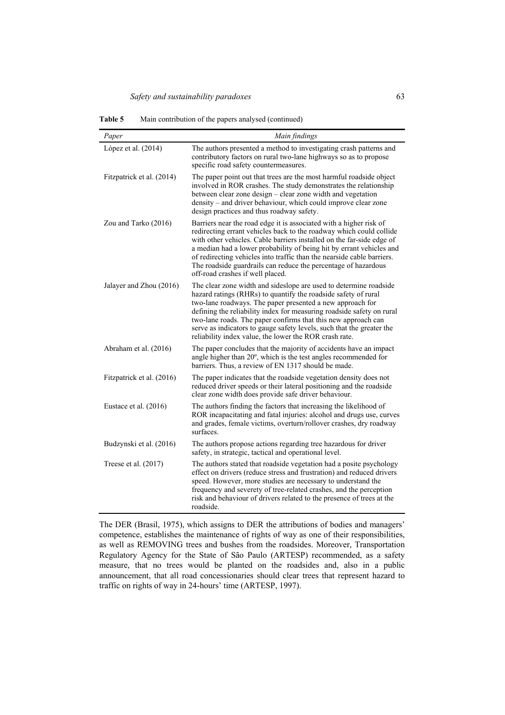**Table 5** Main contribution of the papers analysed (continued)

| Paper                     | Main findings                                                                                                                                                                                                                                                                                                                                                                                                                                                                 |
|---------------------------|-------------------------------------------------------------------------------------------------------------------------------------------------------------------------------------------------------------------------------------------------------------------------------------------------------------------------------------------------------------------------------------------------------------------------------------------------------------------------------|
| López et al. $(2014)$     | The authors presented a method to investigating crash patterns and<br>contributory factors on rural two-lane highways so as to propose<br>specific road safety countermeasures.                                                                                                                                                                                                                                                                                               |
| Fitzpatrick et al. (2014) | The paper point out that trees are the most harmful roadside object<br>involved in ROR crashes. The study demonstrates the relationship<br>between clear zone design – clear zone width and vegetation<br>density – and driver behaviour, which could improve clear zone<br>design practices and thus roadway safety.                                                                                                                                                         |
| Zou and Tarko (2016)      | Barriers near the road edge it is associated with a higher risk of<br>redirecting errant vehicles back to the roadway which could collide<br>with other vehicles. Cable barriers installed on the far-side edge of<br>a median had a lower probability of being hit by errant vehicles and<br>of redirecting vehicles into traffic than the nearside cable barriers.<br>The roadside guardrails can reduce the percentage of hazardous<br>off-road crashes if well placed.    |
| Jalayer and Zhou (2016)   | The clear zone width and sideslope are used to determine roadside<br>hazard ratings (RHRs) to quantify the roadside safety of rural<br>two-lane roadways. The paper presented a new approach for<br>defining the reliability index for measuring roadside safety on rural<br>two-lane roads. The paper confirms that this new approach can<br>serve as indicators to gauge safety levels, such that the greater the<br>reliability index value, the lower the ROR crash rate. |
| Abraham et al. (2016)     | The paper concludes that the majority of accidents have an impact<br>angle higher than 20°, which is the test angles recommended for<br>barriers. Thus, a review of EN 1317 should be made.                                                                                                                                                                                                                                                                                   |
| Fitzpatrick et al. (2016) | The paper indicates that the roadside vegetation density does not<br>reduced driver speeds or their lateral positioning and the roadside<br>clear zone width does provide safe driver behaviour.                                                                                                                                                                                                                                                                              |
| Eustace et al. $(2016)$   | The authors finding the factors that increasing the likelihood of<br>ROR incapacitating and fatal injuries: alcohol and drugs use, curves<br>and grades, female victims, overturn/rollover crashes, dry roadway<br>surfaces.                                                                                                                                                                                                                                                  |
| Budzynski et al. (2016)   | The authors propose actions regarding tree hazardous for driver<br>safety, in strategic, tactical and operational level.                                                                                                                                                                                                                                                                                                                                                      |
| Treese et al. $(2017)$    | The authors stated that roadside vegetation had a posite psychology<br>effect on drivers (reduce stress and frustration) and reduced drivers<br>speed. However, more studies are necessary to understand the<br>frequency and severety of tree-related crashes, and the perception<br>risk and behaviour of drivers related to the presence of trees at the<br>roadside.                                                                                                      |

The DER (Brasil, 1975), which assigns to DER the attributions of bodies and managers' competence, establishes the maintenance of rights of way as one of their responsibilities, as well as REMOVING trees and bushes from the roadsides. Moreover, Transportation Regulatory Agency for the State of São Paulo (ARTESP) recommended, as a safety measure, that no trees would be planted on the roadsides and, also in a public announcement, that all road concessionaries should clear trees that represent hazard to traffic on rights of way in 24-hours' time (ARTESP, 1997).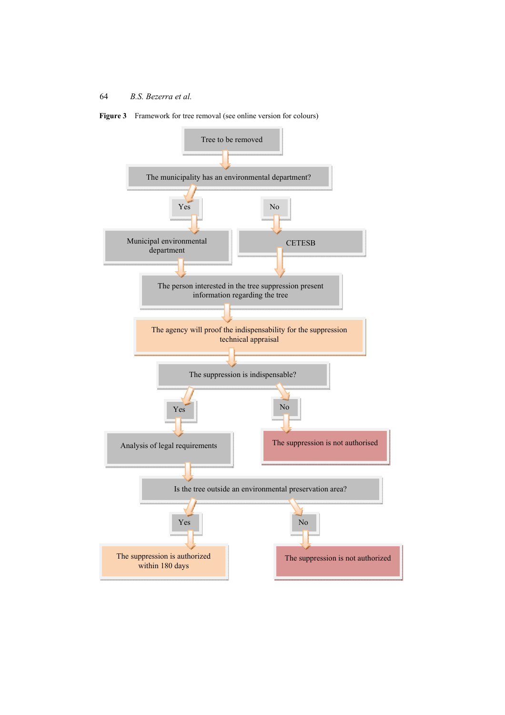

Figure 3 Framework for tree removal (see online version for colours)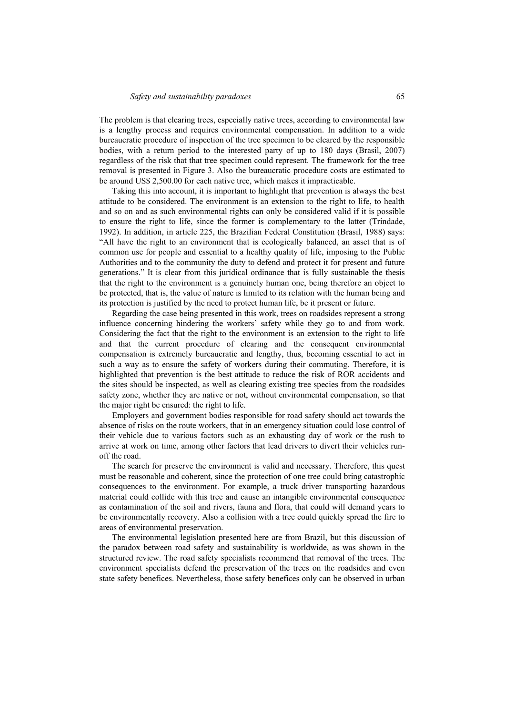The problem is that clearing trees, especially native trees, according to environmental law is a lengthy process and requires environmental compensation. In addition to a wide bureaucratic procedure of inspection of the tree specimen to be cleared by the responsible bodies, with a return period to the interested party of up to 180 days (Brasil, 2007) regardless of the risk that that tree specimen could represent. The framework for the tree removal is presented in Figure 3. Also the bureaucratic procedure costs are estimated to be around US\$ 2,500.00 for each native tree, which makes it impracticable.

Taking this into account, it is important to highlight that prevention is always the best attitude to be considered. The environment is an extension to the right to life, to health and so on and as such environmental rights can only be considered valid if it is possible to ensure the right to life, since the former is complementary to the latter (Trindade, 1992). In addition, in article 225, the Brazilian Federal Constitution (Brasil, 1988) says: "All have the right to an environment that is ecologically balanced, an asset that is of common use for people and essential to a healthy quality of life, imposing to the Public Authorities and to the community the duty to defend and protect it for present and future generations." It is clear from this juridical ordinance that is fully sustainable the thesis that the right to the environment is a genuinely human one, being therefore an object to be protected, that is, the value of nature is limited to its relation with the human being and its protection is justified by the need to protect human life, be it present or future.

Regarding the case being presented in this work, trees on roadsides represent a strong influence concerning hindering the workers' safety while they go to and from work. Considering the fact that the right to the environment is an extension to the right to life and that the current procedure of clearing and the consequent environmental compensation is extremely bureaucratic and lengthy, thus, becoming essential to act in such a way as to ensure the safety of workers during their commuting. Therefore, it is highlighted that prevention is the best attitude to reduce the risk of ROR accidents and the sites should be inspected, as well as clearing existing tree species from the roadsides safety zone, whether they are native or not, without environmental compensation, so that the major right be ensured: the right to life.

Employers and government bodies responsible for road safety should act towards the absence of risks on the route workers, that in an emergency situation could lose control of their vehicle due to various factors such as an exhausting day of work or the rush to arrive at work on time, among other factors that lead drivers to divert their vehicles runoff the road.

The search for preserve the environment is valid and necessary. Therefore, this quest must be reasonable and coherent, since the protection of one tree could bring catastrophic consequences to the environment. For example, a truck driver transporting hazardous material could collide with this tree and cause an intangible environmental consequence as contamination of the soil and rivers, fauna and flora, that could will demand years to be environmentally recovery. Also a collision with a tree could quickly spread the fire to areas of environmental preservation.

The environmental legislation presented here are from Brazil, but this discussion of the paradox between road safety and sustainability is worldwide, as was shown in the structured review. The road safety specialists recommend that removal of the trees. The environment specialists defend the preservation of the trees on the roadsides and even state safety benefices. Nevertheless, those safety benefices only can be observed in urban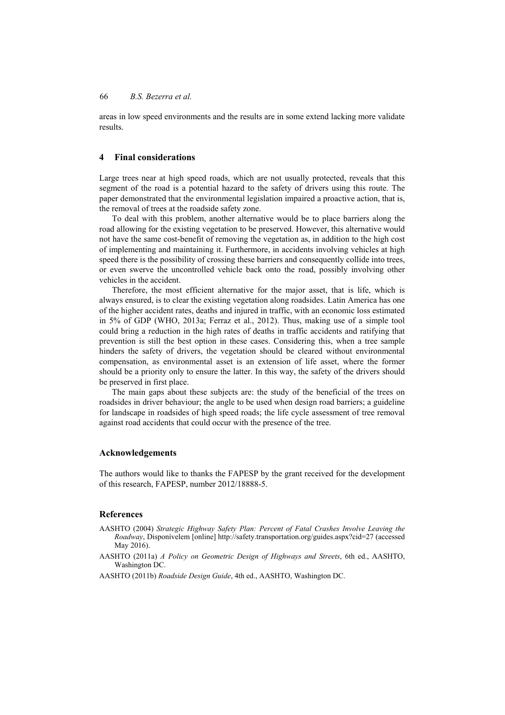areas in low speed environments and the results are in some extend lacking more validate results.

#### **4 Final considerations**

Large trees near at high speed roads, which are not usually protected, reveals that this segment of the road is a potential hazard to the safety of drivers using this route. The paper demonstrated that the environmental legislation impaired a proactive action, that is, the removal of trees at the roadside safety zone.

To deal with this problem, another alternative would be to place barriers along the road allowing for the existing vegetation to be preserved. However, this alternative would not have the same cost-benefit of removing the vegetation as, in addition to the high cost of implementing and maintaining it. Furthermore, in accidents involving vehicles at high speed there is the possibility of crossing these barriers and consequently collide into trees, or even swerve the uncontrolled vehicle back onto the road, possibly involving other vehicles in the accident.

Therefore, the most efficient alternative for the major asset, that is life, which is always ensured, is to clear the existing vegetation along roadsides. Latin America has one of the higher accident rates, deaths and injured in traffic, with an economic loss estimated in 5% of GDP (WHO, 2013a; Ferraz et al., 2012). Thus, making use of a simple tool could bring a reduction in the high rates of deaths in traffic accidents and ratifying that prevention is still the best option in these cases. Considering this, when a tree sample hinders the safety of drivers, the vegetation should be cleared without environmental compensation, as environmental asset is an extension of life asset, where the former should be a priority only to ensure the latter. In this way, the safety of the drivers should be preserved in first place.

The main gaps about these subjects are: the study of the beneficial of the trees on roadsides in driver behaviour; the angle to be used when design road barriers; a guideline for landscape in roadsides of high speed roads; the life cycle assessment of tree removal against road accidents that could occur with the presence of the tree.

#### **Acknowledgements**

The authors would like to thanks the FAPESP by the grant received for the development of this research, FAPESP, number 2012/18888-5.

#### **References**

- AASHTO (2004) *Strategic Highway Safety Plan: Percent of Fatal Crashes Involve Leaving the Roadway*, Disponívelem [online] http://safety.transportation.org/guides.aspx?cid=27 (accessed May 2016).
- AASHTO (2011a) *A Policy on Geometric Design of Highways and Streets*, 6th ed., AASHTO, Washington DC.

AASHTO (2011b) *Roadside Design Guide*, 4th ed., AASHTO, Washington DC.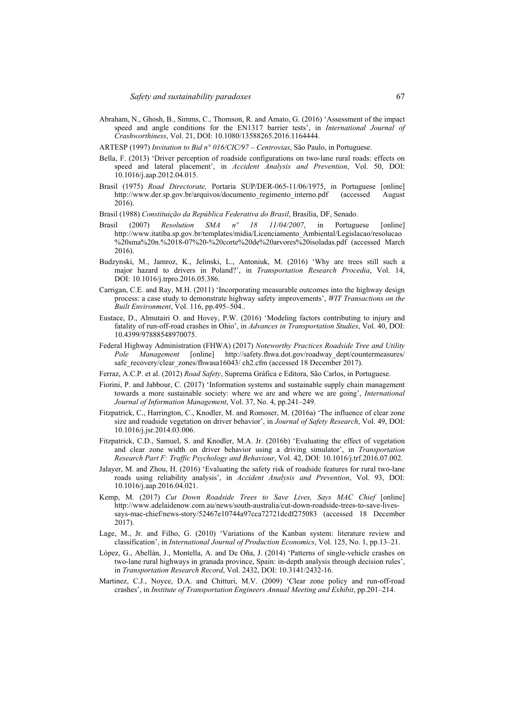Abraham, N., Ghosh, B., Simms, C., Thomson, R. and Amato, G. (2016) 'Assessment of the impact speed and angle conditions for the EN1317 barrier tests', in *International Journal of Crashworthiness*, Vol. 21, DOI: 10.1080/13588265.2016.1164444.

ARTESP (1997) *Invitation to Bid n° 016/CIC/97 – Centrovias*, São Paulo, in Portuguese.

- Bella, F. (2013) 'Driver perception of roadside configurations on two-lane rural roads: effects on speed and lateral placement', in *Accident Analysis and Prevention*, Vol. 50, DOI: 10.1016/j.aap.2012.04.015.
- Brasil (1975) *Road Directorate,* Portaria SUP/DER-065-11/06/1975, in Portuguese [online] http://www.der.sp.gov.br/arquivos/documento\_regimento\_interno.pdf (accessed August 2016).
- Brasil (1988) *Constituição da República Federativa do Brasil*, Brasília, DF, Senado.
- Brasil (2007) *Resolution SMA nº 18 11/04/2007*, in Portuguese [online] http://www.itatiba.sp.gov.br/templates/midia/Licenciamento\_Ambiental/Legislacao/resolucao %20sma%20n.%2018-07%20-%20corte%20de%20arvores%20isoladas.pdf (accessed March 2016).
- Budzynski, M., Jamroz, K., Jelinski, L., Antoniuk, M. (2016) 'Why are trees still such a major hazard to drivers in Poland?', in *Transportation Research Procedia*, Vol. 14, DOI: 10.1016/j.trpro.2016.05.386.
- Carrigan, C.E. and Ray, M.H. (2011) 'Incorporating measurable outcomes into the highway design process: a case study to demonstrate highway safety improvements', *WIT Transactions on the Built Environment*, Vol. 116, pp.495–504..
- Eustace, D., Almutairi O. and Hovey, P.W. (2016) 'Modeling factors contributing to injury and fatality of run-off-road crashes in Ohio', in *Advances in Transportation Studies*, Vol. 40, DOI: 10.4399/97888548970075.
- Federal Highway Administration (FHWA) (2017) *Noteworthy Practices Roadside Tree and Utility Pole Management* [online] http://safety.fhwa.dot.gov/roadway\_dept/countermeasures/ safe\_recovery/clear\_zones/fhwasa16043/ ch2.cfm (accessed 18 December 2017).
- Ferraz, A.C.P. et al. (2012) *Road Safety*, Suprema Gráfica e Editora, São Carlos, in Portuguese.
- Fiorini, P. and Jabbour, C. (2017) 'Information systems and sustainable supply chain management towards a more sustainable society: where we are and where we are going', *International Journal of Information Management*, Vol. 37, No. 4, pp.241–249.
- Fitzpatrick, C., Harrington, C., Knodler, M. and Romoser, M. (2016a) 'The influence of clear zone size and roadside vegetation on driver behavior', in *Journal of Safety Research*, Vol. 49, DOI: 10.1016/j.jsr.2014.03.006.
- Fitzpatrick, C.D., Samuel, S. and Knodler, M.A. Jr. (2016b) 'Evaluating the effect of vegetation and clear zone width on driver behavior using a driving simulator', in *Transportation Research Part F: Traffic Psychology and Behaviour*, Vol. 42, DOI: 10.1016/j.trf.2016.07.002.
- Jalayer, M. and Zhou, H. (2016) 'Evaluating the safety risk of roadside features for rural two-lane roads using reliability analysis', in *Accident Analysis and Prevention*, Vol. 93, DOI: 10.1016/j.aap.2016.04.021.
- Kemp, M. (2017) *Cut Down Roadside Trees to Save Lives, Says MAC Chief* [online] http://www.adelaidenow.com.au/news/south-australia/cut-down-roadside-trees-to-save-livessays-mac-chief/news-story/52467e10744a97cca72721dcdf275083 (accessed 18 December 2017).
- Lage, M., Jr. and Filho, G. (2010) 'Variations of the Kanban system: literature review and classification', in *International Journal of Production Economics*, Vol. 125, No. 1, pp.13–21.
- López, G., Abellán, J., Montella, A. and De Oña, J. (2014) 'Patterns of single-vehicle crashes on two-lane rural highways in granada province, Spain: in-depth analysis through decision rules', in *Transportation Research Record*, Vol. 2432, DOI: 10.3141/2432-16.
- Martinez, C.J., Noyce, D.A. and Chitturi, M.V. (2009) 'Clear zone policy and run-off-road crashes', in *Institute of Transportation Engineers Annual Meeting and Exhibit*, pp.201–214.